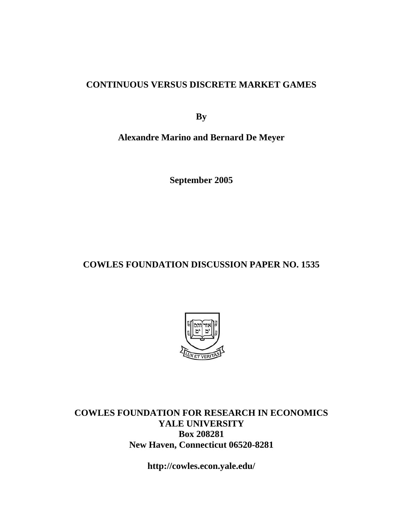## **CONTINUOUS VERSUS DISCRETE MARKET GAMES**

**By** 

**Alexandre Marino and Bernard De Meyer** 

**September 2005** 

# **COWLES FOUNDATION DISCUSSION PAPER NO. 1535**



**COWLES FOUNDATION FOR RESEARCH IN ECONOMICS YALE UNIVERSITY Box 208281 New Haven, Connecticut 06520-8281** 

**http://cowles.econ.yale.edu/**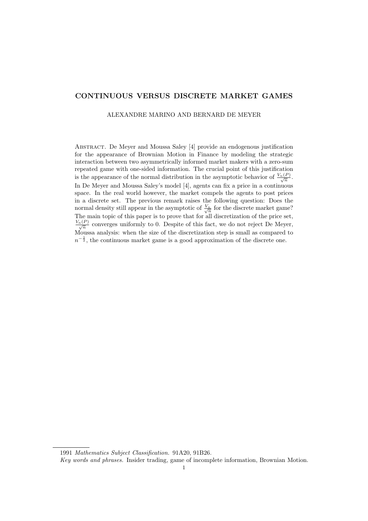### CONTINUOUS VERSUS DISCRETE MARKET GAMES

ALEXANDRE MARINO AND BERNARD DE MEYER

Abstract. De Meyer and Moussa Saley [4] provide an endogenous justification for the appearance of Brownian Motion in Finance by modeling the strategic interaction between two asymmetrically informed market makers with a zero-sum repeated game with one-sided information. The crucial point of this justification is the appearance of the normal distribution in the asymptotic behavior of  $\frac{V_n(P)}{\sqrt{n}}$ . In De Meyer and Moussa Saley's model [4], agents can fix a price in a continuous space. In the real world however, the market compels the agents to post prices in a discrete set. The previous remark raises the following question: Does the normal density still appear in the asymptotic of  $\frac{V_n}{\sqrt{n}}$  for the discrete market game? The main topic of this paper is to prove that for all discretization of the price set,  $\frac{V_n(P)}{\sqrt{n}}$  converges uniformly to 0. Despite of this fact, we do not reject De Meyer, Moussa analysis: when the size of the discretization step is small as compared to  $n^{-\frac{1}{2}}$ , the continuous market game is a good approximation of the discrete one.

1991 Mathematics Subject Classification. 91A20, 91B26.

Key words and phrases. Insider trading, game of incomplete information, Brownian Motion.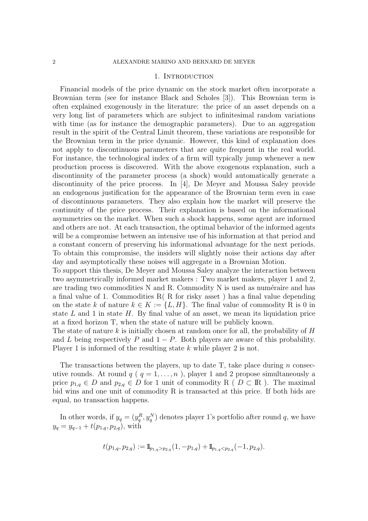#### 1. INTRODUCTION

Financial models of the price dynamic on the stock market often incorporate a Brownian term (see for instance Black and Scholes [3]). This Brownian term is often explained exogenously in the literature: the price of an asset depends on a very long list of parameters which are subject to infinitesimal random variations with time (as for instance the demographic parameters). Due to an aggregation result in the spirit of the Central Limit theorem, these variations are responsible for the Brownian term in the price dynamic. However, this kind of explanation does not apply to discontinuous parameters that are quite frequent in the real world. For instance, the technological index of a firm will typically jump whenever a new production process is discovered. With the above exogenous explanation, such a discontinuity of the parameter process (a shock) would automatically generate a discontinuity of the price process. In [4], De Meyer and Moussa Saley provide an endogenous justification for the appearance of the Brownian term even in case of discontinuous parameters. They also explain how the market will preserve the continuity of the price process. Their explanation is based on the informational asymmetries on the market. When such a shock happens, some agent are informed and others are not. At each transaction, the optimal behavior of the informed agents will be a compromise between an intensive use of his information at that period and a constant concern of preserving his informational advantage for the next periods. To obtain this compromise, the insiders will slightly noise their actions day after day and asymptotically these noises will aggregate in a Brownian Motion.

To support this thesis, De Meyer and Moussa Saley analyze the interaction between two asymmetrically informed market makers : Two market makers, player 1 and 2, are trading two commodities  $N$  and  $R$ . Commodity  $N$  is used as numéraire and has a final value of 1. Commodities R( R for risky asset ) has a final value depending on the state k of nature  $k \in K := \{L, H\}$ . The final value of commodity R is 0 in state  $L$  and 1 in state  $H$ . By final value of an asset, we mean its liquidation price at a fixed horizon T, when the state of nature will be publicly known.

The state of nature k is initially chosen at random once for all, the probability of  $H$ and L being respectively P and  $1 - P$ . Both players are aware of this probability. Player 1 is informed of the resulting state k while player 2 is not.

The transactions between the players, up to date  $T$ , take place during n consecutive rounds. At round  $q$  ( $q = 1, ..., n$ ), player 1 and 2 propose simultaneously a price  $p_{1,q} \in D$  and  $p_{2,q} \in D$  for 1 unit of commodity R (  $D \subset \mathbb{R}$ ). The maximal bid wins and one unit of commodity R is transacted at this price. If both bids are equal, no transaction happens.

In other words, if  $y_q = (y_q^R, y_q^N)$  denotes player 1's portfolio after round q, we have  $y_q = y_{q-1} + t(p_{1,q}, p_{2,q})$ , with

$$
t(p_{1,q}, p_{2,q}) := \mathbb{I}_{p_{1,q} > p_{2,q}}(1, -p_{1,q}) + \mathbb{I}_{p_{1,q} < p_{2,q}}(-1, p_{2,q}).
$$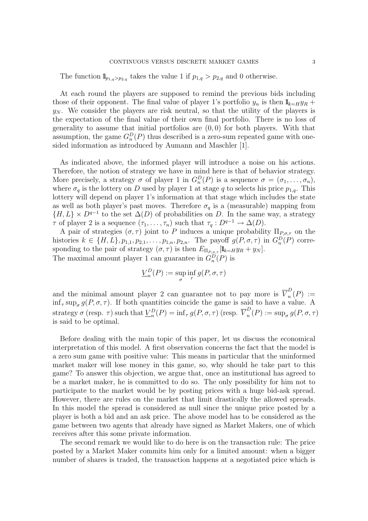The function  $\mathbb{I}_{p_{1,q}>p_{2,q}}$  takes the value 1 if  $p_{1,q}>p_{2,q}$  and 0 otherwise.

At each round the players are supposed to remind the previous bids including those of their opponent. The final value of player 1's portfolio  $y_n$  is then  $\mathbb{I}_{k=H}y_R$  +  $y_N$ . We consider the players are risk neutral, so that the utility of the players is the expectation of the final value of their own final portfolio. There is no loss of generality to assume that initial portfolios are  $(0,0)$  for both players. With that assumption, the game  $G_n^D(P)$  thus described is a zero-sum repeated game with onesided information as introduced by Aumann and Maschler [1].

As indicated above, the informed player will introduce a noise on his actions. Therefore, the notion of strategy we have in mind here is that of behavior strategy. More precisely, a strategy  $\sigma$  of player 1 in  $G_n^D(P)$  is a sequence  $\sigma = (\sigma_1, \ldots, \sigma_n)$ , where  $\sigma_q$  is the lottery on D used by player 1 at stage q to selects his price  $p_{1,q}$ . This lottery will depend on player 1's information at that stage which includes the state as well as both player's past moves. Therefore  $\sigma_q$  is a (measurable) mapping from  $\{H, L\} \times D^{q-1}$  to the set  $\Delta(D)$  of probabilities on D. In the same way, a strategy  $\tau$  of player 2 is a sequence  $(\tau_1, \ldots, \tau_n)$  such that  $\tau_q : D^{q-1} \to \Delta(D)$ .

A pair of strategies  $(\sigma, \tau)$  joint to P induces a unique probability  $\Pi_{P,\sigma,\tau}$  on the histories  $k \in \{H, L\}$ ,  $p_{1,1}, p_{2,1}, \ldots, p_{1,n}, p_{2,n}$ . The payoff  $g(P, \sigma, \tau)$  in  $G_n^D(P)$  corresponding to the pair of strategy  $(\sigma, \tau)$  is then  $E_{\Pi_{P,\sigma,\tau}}[\mathbb{I}_{k=H}y_R + y_N]$ . The maximal amount player 1 can guarantee in  $G_n^D(P)$  is

$$
\underline{V}_n^D(P) := \sup_{\sigma} \inf_{\tau} g(P, \sigma, \tau)
$$

and the minimal amount player 2 can guarantee not to pay more is  $\overline{V}_n^D$  $n(P) :=$  $\inf_{\tau} \sup_{\sigma} g(P, \sigma, \tau)$ . If both quantities coincide the game is said to have a value. A strategy  $\sigma$  (resp.  $\tau$ ) such that  $\underline{V}_n^D(P) = \inf_{\tau} g(P, \sigma, \tau)$  (resp.  $\overline{V}_n^D$  $n(P) := \sup_{\sigma} g(P, \sigma, \tau)$ is said to be optimal.

Before dealing with the main topic of this paper, let us discuss the economical interpretation of this model. A first observation concerns the fact that the model is a zero sum game with positive value: This means in particular that the uninformed market maker will lose money in this game, so, why should he take part to this game? To answer this objection, we argue that, once an institutional has agreed to be a market maker, he is committed to do so. The only possibility for him not to participate to the market would be by posting prices with a huge bid-ask spread. However, there are rules on the market that limit drastically the allowed spreads. In this model the spread is considered as null since the unique price posted by a player is both a bid and an ask price. The above model has to be considered as the game between two agents that already have signed as Market Makers, one of which receives after this some private information.

The second remark we would like to do here is on the transaction rule: The price posted by a Market Maker commits him only for a limited amount: when a bigger number of shares is traded, the transaction happens at a negotiated price which is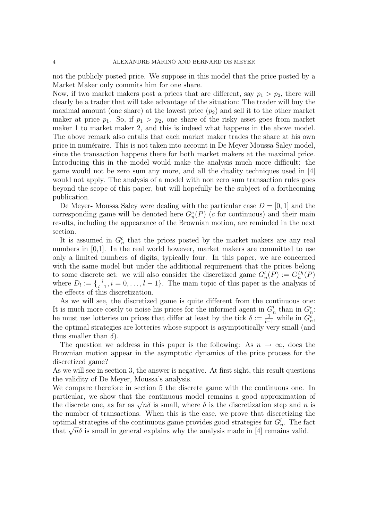not the publicly posted price. We suppose in this model that the price posted by a Market Maker only commits him for one share.

Now, if two market makers post a prices that are different, say  $p_1 > p_2$ , there will clearly be a trader that will take advantage of the situation: The trader will buy the maximal amount (one share) at the lowest price  $(p_2)$  and sell it to the other market maker at price  $p_1$ . So, if  $p_1 > p_2$ , one share of the risky asset goes from market maker 1 to market maker 2, and this is indeed what happens in the above model. The above remark also entails that each market maker trades the share at his own price in numéraire. This is not taken into account in De Meyer Moussa Saley model, since the transaction happens there for both market makers at the maximal price. Introducing this in the model would make the analysis much more difficult: the game would not be zero sum any more, and all the duality techniques used in [4] would not apply. The analysis of a model with non zero sum transaction rules goes beyond the scope of this paper, but will hopefully be the subject of a forthcoming publication.

De Meyer- Moussa Saley were dealing with the particular case  $D = [0, 1]$  and the corresponding game will be denoted here  $G_n^c(P)$  (c for continuous) and their main results, including the appearance of the Brownian motion, are reminded in the next section.

It is assumed in  $G_n^c$  that the prices posted by the market makers are any real numbers in [0,1]. In the real world however, market makers are committed to use only a limited numbers of digits, typically four. In this paper, we are concerned with the same model but under the additional requirement that the prices belong to some discrete set: we will also consider the discretized game  $G_n^l(P) := G_n^{D_l}(P)$ where  $D_l := \{\frac{i}{l-1}\}$  $\frac{i}{l-1}, i = 0, \ldots, l-1$ . The main topic of this paper is the analysis of the effects of this discretization.

As we will see, the discretized game is quite different from the continuous one: It is much more costly to noise his prices for the informed agent in  $G_n^l$  than in  $G_n^c$ . he must use lotteries on prices that differ at least by the tick  $\delta := \frac{1}{l-1}$  while in  $G_n^c$ , the optimal strategies are lotteries whose support is asymptotically very small (and thus smaller than  $\delta$ ).

The question we address in this paper is the following: As  $n \to \infty$ , does the Brownian motion appear in the asymptotic dynamics of the price process for the discretized game?

As we will see in section 3, the answer is negative. At first sight, this result questions the validity of De Meyer, Moussa's analysis.

We compare therefore in section 5 the discrete game with the continuous one. In particular, we show that the continuous model remains a good approximation of particular, we show that the continuous model remains a good approximation of the discretization step and n is the number of transactions. When this is the case, we prove that discretizing the optimal strategies of the continuous game provides good strategies for  $G_n^l$ . The fact optimal strategies of the continuous game provides good strategies for  $G_n$ . The factor of that  $\sqrt{n}\delta$  is small in general explains why the analysis made in [4] remains valid.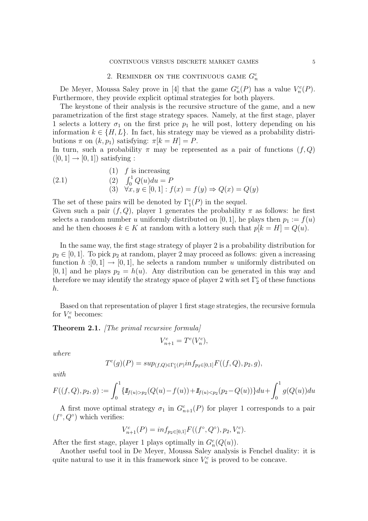# 2. REMINDER ON THE CONTINUOUS GAME  $G_n^c$

De Meyer, Moussa Saley prove in [4] that the game  $G_n^c(P)$  has a value  $V_n^c(P)$ . Furthermore, they provide explicit optimal strategies for both players.

The keystone of their analysis is the recursive structure of the game, and a new parametrization of the first stage strategy spaces. Namely, at the first stage, player 1 selects a lottery  $\sigma_1$  on the first price  $p_1$  he will post, lottery depending on his information  $k \in \{H, L\}$ . In fact, his strategy may be viewed as a probability distributions  $\pi$  on  $(k, p_1)$  satisfying:  $\pi[k = H] = P$ .

In turn, such a probability  $\pi$  may be represented as a pair of functions  $(f, Q)$  $([0, 1] \rightarrow [0, 1])$  satisfying :

(2.1) (1) 
$$
f
$$
 is increasing  
\n(2.1) (2)  $\int_0^1 Q(u) du = P$   
\n(3)  $\forall x, y \in [0, 1]: f(x) = f(y) \Rightarrow Q(x) = Q(y)$ 

The set of these pairs will be denoted by  $\Gamma_1^c(P)$  in the sequel.

Given such a pair  $(f, Q)$ , player 1 generates the probability  $\pi$  as follows: he first selects a random number u uniformly distributed on [0, 1], he plays then  $p_1 := f(u)$ and he then chooses  $k \in K$  at random with a lottery such that  $p[k] = Q(u)$ .

In the same way, the first stage strategy of player 2 is a probability distribution for  $p_2 \in [0, 1]$ . To pick  $p_2$  at random, player 2 may proceed as follows: given a increasing function  $h:[0,1] \to [0,1]$ , he selects a random number u uniformly distributed on [0, 1] and he plays  $p_2 = h(u)$ . Any distribution can be generated in this way and therefore we may identify the strategy space of player 2 with set  $\Gamma_2^c$  of these functions h.

Based on that representation of player 1 first stage strategies, the recursive formula for  $V_n^c$  becomes:

Theorem 2.1. [The primal recursive formula]

$$
V_{n+1}^c = T^c(V_n^c),
$$

where

$$
T^{c}(g)(P) = \sup_{(f,Q) \in \Gamma_1^c(P)} \inf_{p_2 \in [0,1]} F((f,Q), p_2, g),
$$

with

$$
F((f,Q),p_2,g):=\int_0^1 \{1\!\!1_{f(u)>p_2}(Q(u)-f(u))+1\!\!1_{f(u)
$$

A first move optimal strategy  $\sigma_1$  in  $G_{n+1}^c(P)$  for player 1 corresponds to a pair  $(f^{\circ}, Q^{\circ})$  which verifies:

$$
V_{n+1}^c(P) = inf_{p_2 \in [0,1]} F((f^\circ, Q^\circ), p_2, V_n^c).
$$

After the first stage, player 1 plays optimally in  $G_n^c(Q(u))$ .

Another useful tool in De Meyer, Moussa Saley analysis is Fenchel duality: it is quite natural to use it in this framework since  $V_n^c$  is proved to be concave.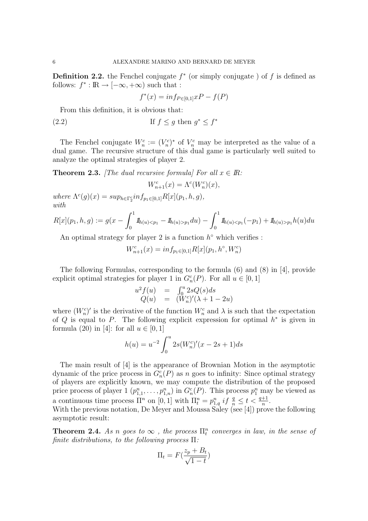**Definition 2.2.** the Fenchel conjugate  $f^*$  (or simply conjugate) of f is defined as follows:  $f^* : \mathbb{R} \to [-\infty, +\infty)$  such that :

$$
f^*(x) = inf_{P \in [0,1]}xP - f(P)
$$

From this definition, it is obvious that:

(2.2) If 
$$
f \le g
$$
 then  $g^* \le f^*$ 

The Fenchel conjugate  $W_n^c := (V_n^c)^*$  of  $V_n^c$  may be interpreted as the value of a dual game. The recursive structure of this dual game is particularly well suited to analyze the optimal strategies of player 2.

**Theorem 2.3.** [The dual recursive formula] For all  $x \in \mathbb{R}$ :

$$
W^c_{n+1}(x)=\Lambda^c(W^c_n)(x),
$$

where  $\Lambda^{c}(g)(x) = sup_{h \in \Gamma_2^c} inf_{p_1 \in [0,1]} R[x](p_1, h, g),$ with

asymptotic result:

$$
R[x](p_1, h, g) := g(x - \int_0^1 \mathbf{1}_{h(u) < p_1} - \mathbf{1}_{h(u) > p_1} du) - \int_0^1 \mathbf{1}_{h(u) < p_1} (-p_1) + \mathbf{1}_{h(u) > p_1} h(u) du
$$

An optimal strategy for player 2 is a function  $h^{\circ}$  which verifies :

$$
W_{n+1}^c(x) = \inf_{p_1 \in [0,1]} R[x](p_1, h^\circ, W_n^c)
$$

The following Formulas, corresponding to the formula (6) and (8) in [4], provide explicit optimal strategies for player 1 in  $G_n^c(P)$ . For all  $u \in [0, 1]$ 

$$
u^{2} f(u) = \int_{0}^{u} 2sQ(s)ds
$$
  
 
$$
Q(u) = (W_{n}^{c})'(\lambda + 1 - 2u)
$$

where  $(W_n^c)'$  is the derivative of the function  $W_n^c$  and  $\lambda$  is such that the expectation of Q is equal to P. The following explicit expression for optimal  $h^*$  is given in formula (20) in [4]: for all  $u \in [0, 1]$ 

$$
h(u) = u^{-2} \int_0^u 2s(W_n^c)'(x - 2s + 1)ds
$$

The main result of [4] is the appearance of Brownian Motion in the asymptotic dynamic of the price process in  $G_n^c(P)$  as n goes to infinity: Since optimal strategy of players are explicitly known, we may compute the distribution of the proposed price process of player  $1 (p_{1,1}^n, \ldots, p_{1,n}^n)$  in  $G_n^c(P)$ . This process  $p_1^n$  may be viewed as a continuous time process  $\Pi^n$  on  $[0, 1]$  with  $\Pi^n_t = p^n_{1,q}$  if  $\frac{q}{n} \le t < \frac{q+1}{n}$ . With the previous notation, De Meyer and Moussa Saley (see [4]) prove the following

**Theorem 2.4.** As n goes to  $\infty$ , the process  $\Pi_t^n$  converges in law, in the sense of finite distributions, to the following process  $\Pi$ :

$$
\Pi_t = F(\frac{z_p + B_t}{\sqrt{1 - t}})
$$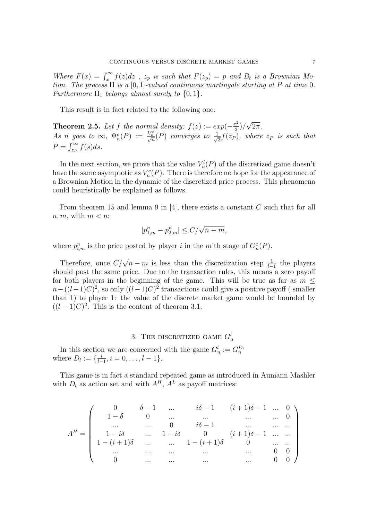Where  $F(x) = \int_x^{\infty} f(z)dz$ ,  $z_p$  is such that  $F(z_p) = p$  and  $B_t$  is a Brownian Motion. The process  $\Pi$  is a [0, 1]-valued continuous martingale starting at P at time 0. Furthermore  $\Pi_1$  belongs almost surely to  $\{0, 1\}$ .

This result is in fact related to the following one:

**Theorem 2.5.** Let f the normal density:  $f(z) := exp(-\frac{z^2}{2})$  $\frac{z^2}{2})/$ √  $2\pi$ . As n goes to  $\infty$ ,  $\Psi_n^c(P) := \frac{V_n^c}{\sqrt{n}}(P)$  converges to  $\frac{1}{\sqrt{n}}$  $\overline{z}_{\overline{3}}f(z_P),$  where  $z_P$  is such that  $P = \int_{z_P}^{\infty} f(s)ds.$ 

In the next section, we prove that the value  $V_n^l(P)$  of the discretized game doesn't have the same asymptotic as  $V_n^c(P)$ . There is therefore no hope for the appearance of a Brownian Motion in the dynamic of the discretized price process. This phenomena could heuristically be explained as follows.

From theorem 15 and lemma 9 in [4], there exists a constant  $C$  such that for all  $n, m$ , with  $m < n$ :

$$
|p_{1,m}^n - p_{2,m}^n| \le C/\sqrt{n-m},
$$

where  $p_{i,m}^n$  is the price posted by player i in the m'th stage of  $G_n^c(P)$ .

Therefore, once  $C/\sqrt{n-m}$  is less than the discretization step  $\frac{1}{l-1}$  the players should post the same price. Due to the transaction rules, this means a zero payoff for both players in the beginning of the game. This will be true as far as  $m <$  $n-((l-1)C)^2$ , so only  $((l-1)C)^2$  transactions could give a positive payoff (smaller than 1) to player 1: the value of the discrete market game would be bounded by  $((l-1)C)^2$ . This is the content of theorem 3.1.

# 3. THE DISCRETIZED GAME  $G_n^l$

In this section we are concerned with the game  $G_n^l := G_n^{D_l}$ where  $D_l := \{\frac{i}{l-1}\}$  $\frac{i}{l-1}, i = 0, \ldots, l-1\}.$ 

This game is in fact a standard repeated game as introduced in Aumann Mashler with  $D_l$  as action set and with  $A^H$ ,  $A^L$  as payoff matrices:

$$
A^{H} = \left(\begin{array}{ccccc} 0 & \delta - 1 & \dots & i\delta - 1 & (i+1)\delta - 1 & \dots & 0 \\ 1 - \delta & 0 & \dots & \dots & \dots & \dots & 0 \\ \dots & \dots & 0 & i\delta - 1 & \dots & \dots & \dots \\ 1 - (i+1)\delta & \dots & 1 - i\delta & 0 & (i+1)\delta - 1 & \dots & \dots \\ \dots & \dots & \dots & \dots & 1 - (i+1)\delta & 0 & \dots & \dots \\ 0 & \dots & \dots & \dots & \dots & 0 & 0 \end{array}\right)
$$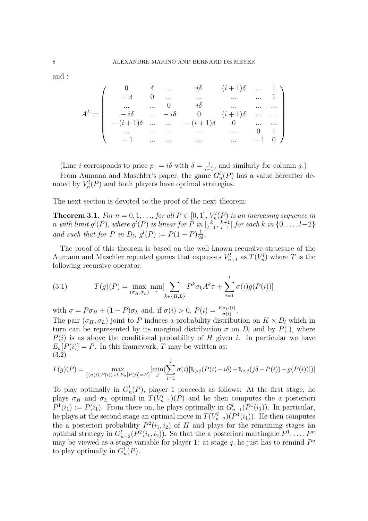and :

$$
A^{L} = \begin{pmatrix} 0 & \delta & \dots & i\delta & (i+1)\delta & \dots & 1 \\ -\delta & 0 & \dots & \dots & \dots & \dots & 1 \\ \dots & \dots & 0 & i\delta & \dots & \dots & \dots \\ -i\delta & \dots & -i\delta & 0 & (i+1)\delta & \dots & \dots \\ -(i+1)\delta & \dots & \dots & -(i+1)\delta & 0 & \dots & \dots \\ \dots & \dots & \dots & \dots & \dots & 0 & 1 \\ -1 & \dots & \dots & \dots & \dots & \dots & -1 & 0 \end{pmatrix}
$$

(Line *i* corresponds to price  $p_1 = i\delta$  with  $\delta = \frac{1}{l-1}$  $\frac{1}{l-1}$ , and similarly for column j.) From Aumann and Maschler's paper, the game  $G_n^l(P)$  has a value hereafter denoted by  $V_n^l(P)$  and both players have optimal strategies.

The next section is devoted to the proof of the next theorem:

**Theorem 3.1.** For  $n = 0, 1, ...,$  for all  $P \in [0, 1], V_n^l(P)$  is an increasing sequence in n with limit  $g^{l}(P)$ , where  $g^{l}(P)$  is linear for P in  $\left[\frac{k}{L}\right]$  $\frac{k}{l-1}, \frac{k+1}{l-1}$  $\left[\frac{k+1}{l-1}\right]$  for each k in  $\{0,\ldots,l-2\}$ and such that for P in  $D_l$ ,  $g^l(P) := P(1-P)\frac{1}{2l}$  $rac{1}{2\delta}$ .

The proof of this theorem is based on the well known recursive structure of the Aumann and Maschler repeated games that expresses  $V_{n+1}^l$  as  $T(V_n^l)$  where T is the following recursive operator:

(3.1) 
$$
T(g)(P) = \max_{(\sigma_H, \sigma_L)} \min_{\tau} \left[ \sum_{k \in \{H, L\}} P^k \sigma_k A^k \tau + \sum_{i=1}^l \sigma(i) g(P(i)) \right]
$$

with  $\sigma = P \sigma_H + (1 - P) \sigma_L$  and, if  $\sigma(i) > 0$ ,  $P(i) = \frac{P \sigma_H(i)}{\sigma(i)}$ .

The pair  $(\sigma_H, \sigma_L)$  joint to P induces a probability distribution on  $K \times D_l$  which in turn can be represented by its marginal distribution  $\sigma$  on  $D_l$  and by  $P(.)$ , where  $P(i)$  is as above the conditional probability of H given i. In particular we have  $E_{\sigma}[P(i)] = P$ . In this framework, T may be written as: (3.2)

$$
T(g)(P) = \max_{\{(\sigma(i), P(i)) \text{ st } E_{\sigma}[P(i)] = P\}} \left[ \min_{j} (\sum_{i=1}^{l} \sigma(i) [\mathbb{I}_{i > j}(P(i) - i\delta) + \mathbb{I}_{i < j}(j\delta - P(i)) + g(P(i))]) \right]
$$

To play optimally in  $G_n^l(P)$ , player 1 proceeds as follows: At the first stage, he plays  $\sigma_H$  and  $\sigma_L$  optimal in  $T(V_{n-1}^l)(P)$  and he then computes the a posteriori  $P^1(i_1) := P(i_1)$ . From there on, he plays optimally in  $G_{n-1}^l(P^1(i_1))$ . In particular, he plays at the second stage an optimal move in  $T(V_{n-2}^l)(P^1(i_1))$ . He then computes the a posteriori probability  $P^2(i_1, i_2)$  of H and plays for the remaining stages an optimal strategy in  $G_{n-2}^l(P^2(i_1,i_2))$ . So that the a posteriori martingale  $P^1, \ldots, P^n$ may be viewed as a stage variable for player 1: at stage  $q$ , he just has to remind  $P<sup>q</sup>$ to play optimally in  $G_n^l(P)$ .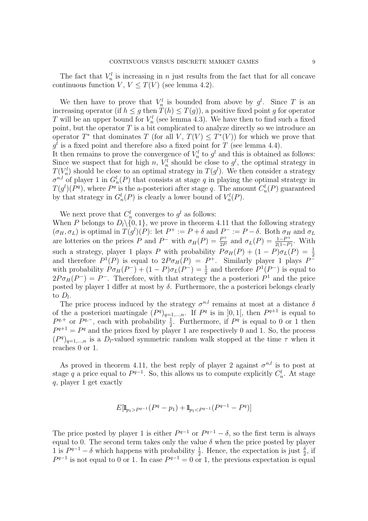The fact that  $V_n^l$  is increasing in n just results from the fact that for all concave continuous function  $V, V \leq T(V)$  (see lemma 4.2).

We then have to prove that  $V_n^l$  is bounded from above by  $g^l$ . Since T is an increasing operator (if  $h \leq g$  then  $T(h) \leq T(g)$ ), a positive fixed point g for operator T will be an upper bound for  $V_n^l$  (see lemma 4.3). We have then to find such a fixed point, but the operator  $T$  is a bit complicated to analyze directly so we introduce an operator  $T^*$  that dominates T (for all V,  $T(V) \leq T^*(V)$ ) for which we prove that  $g<sup>l</sup>$  is a fixed point and therefore also a fixed point for T (see lemma 4.4).

It then remains to prove the convergence of  $V_n^l$  to  $g^l$  and this is obtained as follows: Since we suspect that for high n,  $V_n^l$  should be close to  $g^l$ , the optimal strategy in  $T(V_n^l)$  should be close to an optimal strategy in  $T(g^l)$ . We then consider a strategy  $\sigma^{n,l}$  of player 1 in  $G_n^l(P)$  that consists at stage q in playing the optimal strategy in  $T(g^{l})(P^{q})$ , where  $P^{q}$  is the a-posteriori after stage q. The amount  $C_{n}^{l}(P)$  guaranteed by that strategy in  $G_n^l(P)$  is clearly a lower bound of  $V_n^l(P)$ .

We next prove that  $C_n^l$  converges to  $g^l$  as follows:

When P belongs to  $D_l \setminus \{0, 1\}$ , we prove in theorem 4.11 that the following strategy  $(\sigma_H, \sigma_L)$  is optimal in  $T(g^l)(P)$ : let  $P^+ := P + \delta$  and  $P^- := P - \delta$ . Both  $\sigma_H$  and  $\sigma_L$ are lotteries on the prices P and P<sup>-</sup> with  $\sigma_H(P) = \frac{P^+}{2P}$  $\frac{P^+}{2P}$  and  $\sigma_L(P) = \frac{1-P^+}{2(1-P^+)}$  $\frac{1-P^+}{2(1-P)}$ . With such a strategy, player 1 plays P with probability  $P \sigma_H(P) + (1 - P) \sigma_L(P) = \frac{1}{2}$ and therefore  $P^1(P)$  is equal to  $2P\sigma_H(P) = P^+$ . Similarly player 1 plays  $P^$ with probability  $P \sigma_H(P^-) + (1 - P) \sigma_L(P^-) = \frac{1}{2}$  and therefore  $P^1(P^-)$  is equal to  $2P\sigma_H(P^-) = P^-$ . Therefore, with that strategy the a posteriori  $P^1$  and the price posted by player 1 differ at most by  $\delta$ . Furthermore, the a posteriori belongs clearly to  $D_l$ .

The price process induced by the strategy  $\sigma^{n,l}$  remains at most at a distance  $\delta$ of the a posteriori martingale  $(P^q)_{q=1,\dots,n}$ . If  $P^q$  is in  $]0,1[$ , then  $P^{q+1}$  is equal to  $P^{q,+}$  or  $P^{q,-}$ , each with probability  $\frac{1}{2}$ . Furthermore, if  $P^q$  is equal to 0 or 1 then  $P^{q+1} = P^q$  and the prices fixed by player 1 are respectively 0 and 1. So, the process  $(P^q)_{q=1,\dots,n}$  is a  $D_l$ -valued symmetric random walk stopped at the time  $\tau$  when it reaches 0 or 1.

As proved in theorem 4.11, the best reply of player 2 against  $\sigma^{n,l}$  is to post at stage q a price equal to  $P^{q-1}$ . So, this allows us to compute explicitly  $C_n^l$ . At stage q, player 1 get exactly

$$
E[\mathbb{I}_{p_1 > P^{q-1}}(P^q - p_1) + \mathbb{I}_{p_1 < P^{q-1}}(P^{q-1} - P^q)]
$$

The price posted by player 1 is either  $P^{q-1}$  or  $P^{q-1} - \delta$ , so the first term is always equal to 0. The second term takes only the value  $\delta$  when the price posted by player 1 is  $P^{q-1} - \delta$  which happens with probability  $\frac{1}{2}$ . Hence, the expectation is just  $\frac{\delta}{2}$ , if  $P^{q-1}$  is not equal to 0 or 1. In case  $P^{q-1} = 0$  or 1, the previous expectation is equal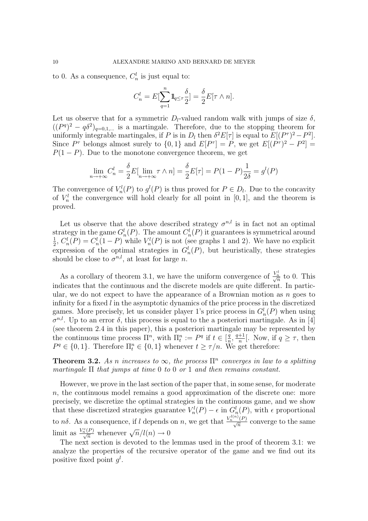to 0. As a consequence,  $C_n^l$  is just equal to:

$$
C_n^l = E[\sum_{q=1}^n 1\!\mathrm{l}_{q \leq \tau} \frac{\delta}{2}] = \frac{\delta}{2} E[\tau \wedge n].
$$

Let us observe that for a symmetric  $D_l$ -valued random walk with jumps of size  $\delta$ ,  $((P<sup>q</sup>)<sup>2</sup> - q<sup>3</sup>)<sub>q=0,1,...}</sub>$  is a martingale. Therefore, due to the stopping theorem for uniformly integrable martingales, if P is in  $D_l$  then  $\delta^2 E[\tau]$  is equal to  $E[(P^{\tau})^2 - P^2]$ . Since  $P^{\tau}$  belongs almost surely to  $\{0,1\}$  and  $E[P^{\tau}] = P$ , we get  $E[(P^{\tau})^2 - P^2] =$  $P(1 - P)$ . Due to the monotone convergence theorem, we get

$$
\lim_{n \to +\infty} C_n^l = \frac{\delta}{2} E[\lim_{n \to +\infty} \tau \wedge n] = \frac{\delta}{2} E[\tau] = P(1 - P) \frac{1}{2\delta} = g^l(P)
$$

The convergence of  $V_n^l(P)$  to  $g^l(P)$  is thus proved for  $P \in D_l$ . Due to the concavity of  $V_n^l$  the convergence will hold clearly for all point in [0, 1], and the theorem is proved.

Let us observe that the above described strategy  $\sigma^{n,l}$  is in fact not an optimal strategy in the game  $G_n^l(P)$ . The amount  $C_n^l(P)$  it guarantees is symmetrical around 1  $\frac{1}{2}$ ,  $C_n^l(P) = C_n^l(1 - P)$  while  $V_n^l(P)$  is not (see graphs 1 and 2). We have no explicit expression of the optimal strategies in  $G_n^l(P)$ , but heuristically, these strategies should be close to  $\sigma^{n,l}$ , at least for large n.

As a corollary of theorem 3.1, we have the uniform convergence of  $\frac{V_n^l}{\sqrt{n}}$  to 0. This indicates that the continuous and the discrete models are quite different. In particular, we do not expect to have the appearance of a Brownian motion as  $n$  goes to infinity for a fixed  $l$  in the asymptotic dynamics of the price process in the discretized games. More precisely, let us consider player 1's price process in  $G_n^l(P)$  when using  $\sigma^{n,l}$ . Up to an error  $\delta$ , this process is equal to the a posteriori martingale. As in [4] (see theorem 2.4 in this paper), this a posteriori martingale may be represented by the continuous time process  $\Pi^n$ , with  $\Pi^n_t := P^q$  if  $t \in \lbrack \frac{q}{n} \rbrack$  $\frac{q}{n}, \frac{q+1}{n}$  $\frac{+1}{n}$ [. Now, if  $q \geq \tau$ , then  $P^q \in \{0,1\}$ . Therefore  $\Pi^n_t \in \{0,1\}$  whenever  $t \geq \tau/n$ . We get therefore:

**Theorem 3.2.** As n increases to  $\infty$ , the process  $\Pi^n$  converges in law to a splitting martingale  $\Pi$  that jumps at time 0 to 0 or 1 and then remains constant.

However, we prove in the last section of the paper that, in some sense, for moderate n, the continuous model remains a good approximation of the discrete one: more precisely, we discretize the optimal strategies in the continuous game, and we show that these discretized strategies guarantee  $V_n^l(P) - \epsilon$  in  $G_n^l(P)$ , with  $\epsilon$  proportional to  $n\delta$ . As a consequence, if l depends on n, we get that  $\frac{V_n^{l(n)}(P)}{\sqrt{n}}$  converge to the same limit as  $\frac{V_n^c(P)}{\sqrt{n}}$  whenever  $\sqrt{n}/l(n) \to 0$ 

The next section is devoted to the lemmas used in the proof of theorem 3.1: we analyze the properties of the recursive operator of the game and we find out its positive fixed point  $g^l$ .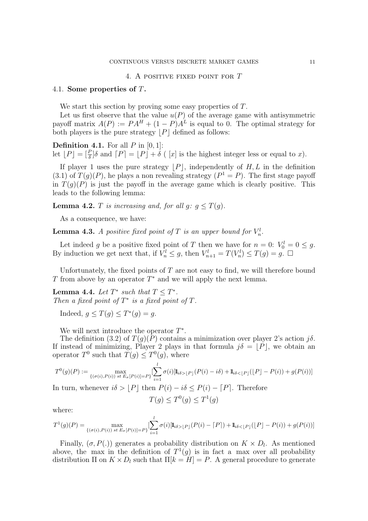#### 4. A positive fixed point for T

#### 4.1. Some properties of T.

We start this section by proving some easy properties of  $T$ .

Let us first observe that the value  $u(P)$  of the average game with antisymmetric payoff matrix  $A(P) := PA^H + (1 - P)A^L$  is equal to 0. The optimal strategy for both players is the pure strategy  $\vert P \vert$  defined as follows:

**Definition 4.1.** For all  $P$  in  $[0, 1]$ :

let  $\lfloor P \rfloor = \lfloor \frac{P}{\delta} \rfloor \delta$  and  $\lceil P \rceil = \lfloor P \rfloor + \delta$  (  $\lfloor x \rfloor$  is the highest integer less or equal to x).

If player 1 uses the pure strategy  $|P|$ , independently of  $H, L$  in the definition  $(3.1)$  of  $T(g)(P)$ , he plays a non revealing strategy  $(P<sup>1</sup> = P)$ . The first stage payoff in  $T(g)(P)$  is just the payoff in the average game which is clearly positive. This leads to the following lemma:

**Lemma 4.2.** T is increasing and, for all  $g: g \leq T(g)$ .

As a consequence, we have:

**Lemma 4.3.** A positive fixed point of T is an upper bound for  $V_n^l$ .

Let indeed g be a positive fixed point of T then we have for  $n = 0$ :  $V_0^l = 0 \le g$ . By induction we get next that, if  $V_n^l \leq g$ , then  $V_{n+1}^l = T(V_n^l) \leq T(g) = g$ .  $\Box$ 

Unfortunately, the fixed points of  $T$  are not easy to find, we will therefore bound T from above by an operator  $T^*$  and we will apply the next lemma.

**Lemma 4.4.** Let  $T^*$  such that  $T \leq T^*$ . Then a fixed point of  $T^*$  is a fixed point of  $T$ .

Indeed,  $g \leq T(g) \leq T^*(g) = g$ .

We will next introduce the operator  $T^*$ .

The definition (3.2) of  $T(g)(P)$  contains a minimization over player 2's action  $i\delta$ . If instead of minimizing, Player 2 plays in that formula  $j\delta = [\tilde{P}]$ , we obtain an operator  $T^0$  such that  $T(g) \leq T^0(g)$ , where

$$
T^{0}(g)(P) := \max_{\{(\sigma(i), P(i)) \text{ st } E_{\sigma}[P(i)] = P\}} \left[ \sum_{i=1}^{l} \sigma(i) [\mathbb{I}_{i\delta > [P]}(P(i) - i\delta) + \mathbb{I}_{i\delta < [P]}([\mathcal{P}] - P(i)) + g(P(i)) \right]
$$

In turn, whenever  $i\delta > \lfloor P \rfloor$  then  $P(i) - i\delta \leq P(i) - \lfloor P \rfloor$ . Therefore

$$
T(g) \le T^0(g) \le T^1(g)
$$

where:

$$
T^{1}(g)(P) = \max_{\{(\sigma(i), P(i)) \text{ st } E_{\sigma}[P(i)] = P\}} \left[ \sum_{i=1}^{l} \sigma(i) [\mathbb{I}_{i\delta > [P]}(P(i) - [P]) + \mathbb{I}_{i\delta < [P]}([P] - P(i)) + g(P(i)) \right]
$$

Finally,  $(\sigma, P(.))$  generates a probability distribution on  $K \times D_l$ . As mentioned above, the max in the definition of  $T^1(g)$  is in fact a max over all probability distribution  $\Pi$  on  $K \times D_l$  such that  $\Pi[k] = H - P$ . A general procedure to generate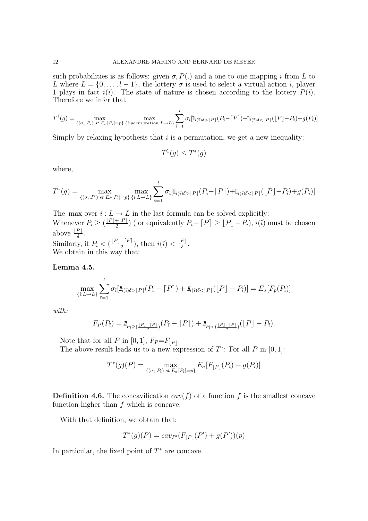such probabilities is as follows: given  $\sigma$ ,  $P(.)$  and a one to one mapping i from L to L where  $L = \{0, \ldots, l-1\}$ , the lottery  $\sigma$  is used to select a virtual action  $\tilde{\imath}$ , player 1 plays in fact  $i(\tilde{i})$ . The state of nature is chosen according to the lottery  $P(\tilde{i})$ . Therefore we infer that

$$
T^1(g) = \max_{\{(\sigma_i, P_i) \text{ st } E_{\sigma}[P_i] = p\}} \max_{\{i:permutation \ L \to L\}} \sum_{\tilde{i}=1}^l \sigma_{\tilde{i}}[\mathbb{I}_{i(\tilde{i})\delta > [P]}(P_{\tilde{i}} - [P]) + \mathbb{I}_{i(\tilde{i})\delta < [P]}([P] - P_{\tilde{i}}) + g(P_{\tilde{i}})]
$$

Simply by relaxing hypothesis that  $i$  is a permutation, we get a new inequality:

$$
T^1(g) \le T^*(g)
$$

where,

$$
T^*(g) = \max_{\{(\sigma_{\tilde{i}}, P_{\tilde{i}}) \text{ st } E_{\sigma}[P_{\tilde{i}}] = p\}} \max_{\{i:L \to L\}} \sum_{\tilde{i}=1}^l \sigma_{\tilde{i}}[\mathbb{I}_{i(\tilde{i})\delta > [P]}(P_{\tilde{i}} - [P]) + \mathbb{I}_{i(\tilde{i})\delta < [P]}([P] - P_{\tilde{i}}) + g(P_{\tilde{i}})]
$$

The max over  $i: L \to L$  in the last formula can be solved explicitly: Whenever  $P_{\tilde{i}} \geq \left(\frac{\lfloor P\rfloor + \lceil P\rceil}{2}\right)$  $\frac{1+|P|}{2}$ ) ( or equivalently  $P_{\tilde{i}} - [P] \geq [P]-P_{\tilde{i}}$ ),  $i(\tilde{i})$  must be chosen above  $\frac{\lfloor P\rfloor}{\delta}$ . δ Similarly, if  $P_{\tilde{i}} < (\frac{\lfloor P\rfloor + \lceil P\rceil}{2})$  $\frac{[P]}{2}$ , then  $i(\tilde{i}) < \frac{[P]}{\delta}$  $\frac{P\rfloor}{\delta}$ . We obtain in this way that:

Lemma 4.5.

$$
\max_{\{i:L\to L\}} \sum_{\tilde{i}=1}^l \sigma_{\tilde{i}}[\mathbf{1}_{\tilde{i}(\tilde{i})\delta>[P]}(P_{\tilde{i}}-\lceil P \rceil)+\mathbf{1}_{\tilde{i}(\tilde{i})\delta>[P]}(\lfloor P \rfloor-P_{\tilde{i}})]=E_{\sigma}[F_p(P_{\tilde{i}})]
$$

with:

$$
F_P(P_i) = 1\!\!1_{P_i \geq (\frac{\lfloor P \rfloor + \lceil P \rceil}{2})} (P_i - \lceil P \rceil) + 1\!\!1_{P_i < (\frac{\lfloor P \rfloor + \lceil P \rceil}{2})} (\lfloor P \rfloor - P_i).
$$

Note that for all P in [0, 1],  $F_P = F_{|P|}$ .

The above result leads us to a new expression of  $T^*$ : For all P in [0, 1]:

$$
T^*(g)(P) = \max_{\{(\sigma_i, P_i)\}_{i} \in E_{\sigma}[P_i] = p\}} E_{\sigma}[F_{\lfloor P\rfloor}(P_i) + g(P_i)]
$$

**Definition 4.6.** The concavification  $cav(f)$  of a function f is the smallest concave function higher than f which is concave.

With that definition, we obtain that:

$$
T^*(g)(P) = cav_{P'}(F_{\lfloor P\rfloor}(P') + g(P'))(p)
$$

In particular, the fixed point of  $T^*$  are concave.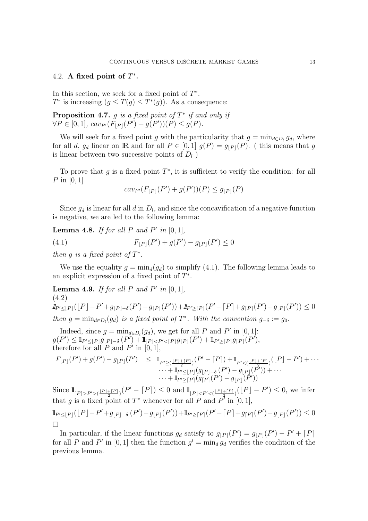### 4.2. A fixed point of  $T^*$ .

In this section, we seek for a fixed point of  $T^*$ .  $T^*$  is increasing  $(g \leq T(g) \leq T^*(g))$ . As a consequence:

**Proposition 4.7.** g is a fixed point of  $T^*$  if and only if  $\forall P \in [0, 1], \, \text{cav}_{P'}(F_{|P|}(P') + g(P'))(P) \leq g(P).$ 

We will seek for a fixed point g with the particularity that  $g = \min_{d \in D_l} g_d$ , where for all d, g<sub>d</sub> linear on IR and for all  $P \in [0,1]$   $g(P) = g_{\vert P \vert}(P)$ . (this means that g is linear between two successive points of  $D_l$ )

To prove that  $g$  is a fixed point  $T^*$ , it is sufficient to verify the condition: for all P in  $[0, 1]$ 

$$
cav_{P'}(F_{\lfloor P\rfloor}(P')+g(P'))(P) \le g_{\lfloor P\rfloor}(P)
$$

Since  $g_d$  is linear for all d in  $D_l$ , and since the concavification of a negative function is negative, we are led to the following lemma:

**Lemma 4.8.** If for all P and P' in  $[0,1]$ , (4.1)  $F_{|P|}(P') + g(P') - g_{|P|}(P') \le 0$ 

then g is a fixed point of  $T^*$ .

We use the equality  $g = \min_d(g_d)$  to simplify (4.1). The following lemma leads to an explicit expression of a fixed point of  $T^*$ .

**Lemma 4.9.** If for all P and P' in  $[0,1]$ , (4.2)  $\mathbb{1}_{P' \leq |P|}(\lfloor P \rfloor - P' + g_{|P|-\delta}(P') - g_{|P|}(P')) + \mathbb{1}_{P' \geq [P]}(P' - [P] + g_{|P|}(P') - g_{|P|}(P')) \leq 0$ then  $g = \min_{d \in D_l}(g_d)$  is a fixed point of  $T^*$ . With the convention  $g_{-\delta} := g_0$ .

Indeed, since  $g = \min_{d \in D_l}(g_d)$ , we get for all P and P' in [0, 1]:  $g(P') \leq 1\!\!1_{P' \leq \lfloor P \rfloor} g_{\lfloor P \rfloor-\delta} \left( P' \right) + 1\!\!1_{\lfloor P \rfloor < P' < \lceil P \rceil} g_{\lfloor P \rfloor} (P') + 1\!\!1_{P' \geq \lceil P \rceil} g_{\lceil P \rceil} (P'),$ therefore for all  $\overline{P}$  and  $P'$  in  $[0, 1]$ ,

$$
F_{\lfloor P\rfloor}(P')+g(P')-g_{\lfloor P\rfloor}(P') \leq 1\!\!1_{P'\geq (\frac{\lfloor P\rfloor+\lceil P\rceil}{2})}(P'-\lceil P\rceil)+1\!\!1_{P'<(\frac{\lfloor P\rfloor+\lceil P\rceil}{2})}(\lfloor P\rfloor-P')+\cdots +1\!\!1_{P'\leq \lfloor P\rfloor}(g_{\lfloor P\rfloor-\delta}(P')-g_{\lfloor P\rfloor}(P'))+\cdots +1\!\!1_{P'\geq \lceil P\rceil}(g_{\lceil P\rceil}(P')-g_{\lfloor P\rfloor}(P'))
$$

Since  $\mathbb{1}_{\lceil P \rceil > P' > (\frac{\lfloor P \rfloor + \lceil P \rceil}{2})} (P' - \lceil P \rceil) \leq 0$  and  $\mathbb{1}_{\lfloor P \rfloor < P' < (\frac{\lfloor P \rfloor + \lceil P \rceil}{2})} (\lfloor P \rfloor - P') \leq 0$ , we infer that g is a fixed point of  $T^*$  whenever for all P and  $P^{\tau}$  in [0, 1],

$$
\mathbb{1}_{P' \leq \lfloor P \rfloor} (\lfloor P \rfloor - P' + g_{\lfloor P \rfloor - \delta} (P') - g_{\lfloor P \rfloor} (P')) + \mathbb{1}_{P' \geq \lceil P \rceil} (P' - \lceil P \rceil + g_{\lceil P \rceil} (P') - g_{\lfloor P \rfloor} (P')) \leq 0
$$

In particular, if the linear functions  $g_d$  satisfy to  $g_{[P]}(P') = g_{[P]}(P') - P' + [P]$ for all P and P' in [0, 1] then the function  $g^l = \min_d g_d$  verifies the condition of the previous lemma.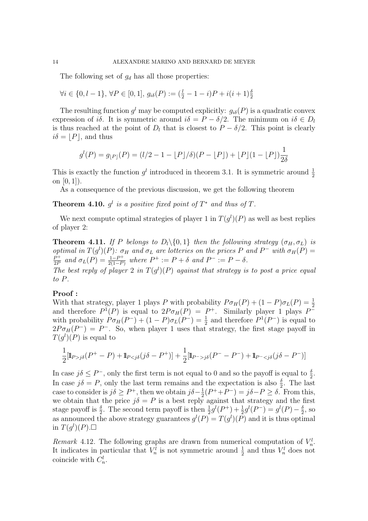The following set of  $g_d$  has all those properties:

$$
\forall i \in \{0, l-1\}, \forall P \in [0, 1], g_{i\delta}(P) := (\frac{l}{2} - 1 - i)P + i(i + 1)\frac{\delta}{2}
$$

The resulting function  $g^l$  may be computed explicitly:  $g_{i\delta}(P)$  is a quadratic convex expression of i $\delta$ . It is symmetric around  $i\delta = P - \delta/2$ . The minimum on  $i\delta \in D_l$ is thus reached at the point of  $D_l$  that is closest to  $P - \delta/2$ . This point is clearly  $i\delta = |P|$ , and thus

$$
g^{l}(P) = g_{\lfloor P\rfloor}(P) = (l/2 - 1 - \lfloor P\rfloor/\delta)(P - \lfloor P\rfloor) + \lfloor P\rfloor(1 - \lfloor P\rfloor)\frac{1}{2\delta}
$$

This is exactly the function  $g^l$  introduced in theorem 3.1. It is symmetric around  $\frac{1}{2}$ on  $[0, 1]$ ).

As a consequence of the previous discussion, we get the following theorem

**Theorem 4.10.**  $g^l$  is a positive fixed point of  $T^*$  and thus of  $T$ .

We next compute optimal strategies of player 1 in  $T(g^l)(P)$  as well as best replies of player 2:

**Theorem 4.11.** If P belongs to  $D_l \setminus \{0, 1\}$  then the following strategy  $(\sigma_H, \sigma_L)$  is optimal in  $T(g^l)(P)$ :  $\sigma_H$  and  $\sigma_L$  are lotteries on the prices P and P<sup>-</sup> with  $\sigma_H(P)$  =  $P^+$  $\frac{P^+}{2P}$  and  $\sigma_L(P) = \frac{1-P^+}{2(1-P^+)}$  $\frac{1-P^+}{2(1-P)}$  where  $P^+ := P + \delta$  and  $P^- := P - \delta$ . The best reply of player 2 in  $T(g^l)(P)$  against that strategy is to post a price equal to P.

### Proof :

With that strategy, player 1 plays P with probability  $P \sigma_H(P) + (1 - P) \sigma_L(P) = \frac{1}{2}$ and therefore  $P^1(P)$  is equal to  $2P\sigma_H(P) = P^+$ . Similarly player 1 plays  $P^$ with probability  $P \sigma_H(P^-) + (1 - P) \sigma_L(P^-) = \frac{1}{2}$  and therefore  $P^1(P^-)$  is equal to  $2P\sigma_H(P^-) = P^-$ . So, when player 1 uses that strategy, the first stage payoff in  $T(g^l)(P)$  is equal to

$$
\frac{1}{2}[\mathbb{I}_{P>j\delta}(P^+ - P) + \mathbb{I}_{Pj\delta}(P^- - P^-) + \mathbb{I}_{P^->j\delta}(j\delta - P^-)]
$$

In case  $j\delta \leq P^-$ , only the first term is not equal to 0 and so the payoff is equal to  $\frac{\delta}{2}$ . In case  $j\delta = P$ , only the last term remains and the expectation is also  $\frac{\delta}{2}$ . The last case to consider is  $j\delta \geq P^+$ , then we obtain  $j\delta - \frac{1}{2}$  $\frac{1}{2}(P^+ + P^-) = j\delta - P \ge \delta$ . From this, we obtain that the price  $j\delta = P$  is a best reply against that strategy and the first stage payoff is  $\frac{\delta}{2}$ . The second term payoff is then  $\frac{1}{2}g^{l}(P^{+}) + \frac{1}{2}g^{l}(P^{-}) = g^{l}(P) - \frac{\delta}{2}$  $\frac{\delta}{2}$ , so as announced the above strategy guarantees  $g^{(P)} = T(g^{(P)})$  and it is thus optimal in  $T(g^l)(P)$ .

Remark 4.12. The following graphs are drawn from numerical computation of  $V_n^l$ . It indicates in particular that  $V_n^l$  is not symmetric around  $\frac{1}{2}$  and thus  $V_n^l$  does not coincide with  $C_n^l$ .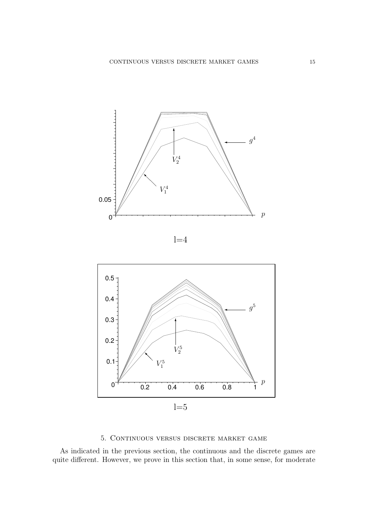





## 5. Continuous versus discrete market game

As indicated in the previous section, the continuous and the discrete games are quite different. However, we prove in this section that, in some sense, for moderate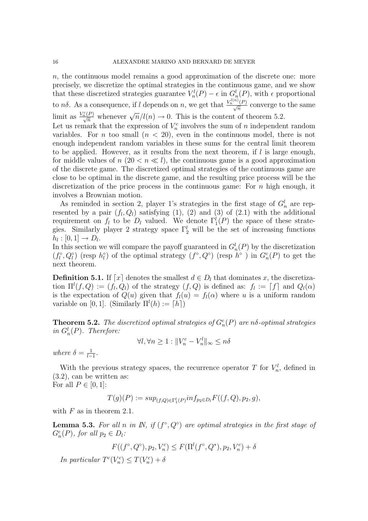n, the continuous model remains a good approximation of the discrete one: more precisely, we discretize the optimal strategies in the continuous game, and we show that these discretized strategies guarantee  $V_n^l(P) - \epsilon$  in  $G_n^l(P)$ , with  $\epsilon$  proportional to  $n\delta$ . As a consequence, if l depends on n, we get that  $\frac{V_n^{l(n)}(P)}{\sqrt{n}}$  converge to the same limit as  $\frac{V_n^c(P)}{\sqrt{n}}$  whenever  $\sqrt{n}/l(n) \to 0$ . This is the content of theorem 5.2.

Let us remark that the expression of  $V_n^c$  involves the sum of n independent random variables. For *n* too small  $(n < 20)$ , even in the continuous model, there is not enough independent random variables in these sums for the central limit theorem to be applied. However, as it results from the next theorem, if  $l$  is large enough, for middle values of  $n (20 < n \ll l)$ , the continuous game is a good approximation of the discrete game. The discretized optimal strategies of the continuous game are close to be optimal in the discrete game, and the resulting price process will be the discretization of the price process in the continuous game: For  $n$  high enough, it involves a Brownian motion.

As reminded in section 2, player 1's strategies in the first stage of  $G_n^l$  are represented by a pair  $(f_l, Q_l)$  satisfying (1), (2) and (3) of (2.1) with the additional requirement on  $f_l$  to be  $D_l$  valued. We denote  $\Gamma_1^l(P)$  the space of these strategies. Similarly player 2 strategy space  $\Gamma_2^l$  will be the set of increasing functions  $h_l : [0,1] \rightarrow D_l.$ 

In this section we will compare the payoff guaranteed in  $G_n^l(P)$  by the discretization  $(f_l^{\circ}, Q_l^{\circ})$  (resp  $h_l^{\circ}$ ) of the optimal strategy  $(f^{\circ}, Q^{\circ})$  (resp  $h^{\circ}$ ) in  $G_n^c(P)$  to get the next theorem.

**Definition 5.1.** If  $[x]$  denotes the smallest  $d \in D_l$  that dominates x, the discretization  $\Pi^l(f, Q) := (f_l, Q_l)$  of the strategy  $(f, Q)$  is defined as:  $f_l := [f]$  and  $Q_l(\alpha)$ is the expectation of  $Q(u)$  given that  $f_l(u) = f_l(\alpha)$  where u is a uniform random variable on [0, 1]. (Similarly  $\Pi^{l}(h) := \lceil h \rceil$ )

**Theorem 5.2.** The discretized optimal strategies of  $G_n^c(P)$  are n $\delta$ -optimal strategies in  $G_n^l(P)$ . Therefore:

$$
\forall l, \forall n \ge 1 : ||V_n^c - V_n^l||_{\infty} \le n\delta
$$

where  $\delta = \frac{1}{l_{-}}$  $\frac{1}{l-1}$ .

With the previous strategy spaces, the recurrence operator T for  $V_n^l$ , defined in (3.2), can be written as: For all  $P \in [0,1]$ :

 $T(g)(P) := sup_{(f,Q) \in \Gamma_1^l(P)} inf_{p_2 \in D_l} F((f,Q), p_2, g),$ 

with  $F$  as in theorem 2.1.

**Lemma 5.3.** For all n in IN, if  $(f^{\circ}, Q^{\circ})$  are optimal strategies in the first stage of  $G_n^c(P)$ , for all  $p_2 \in D_l$ :

$$
F((f^{\circ}, Q^{\circ}), p_2, V_n^c) \le F(\Pi^l(f^{\circ}, Q^*), p_2, V_n^c) + \delta
$$

In particular  $T^{c}(V_n^c) \leq T(V_n^c) + \delta$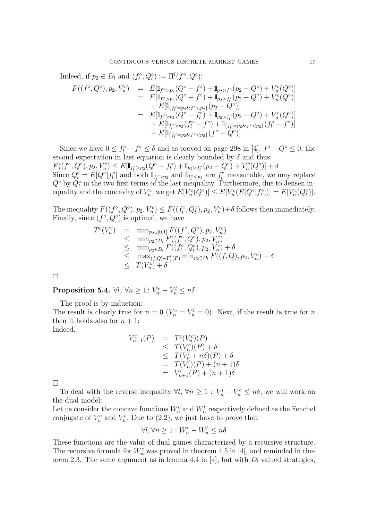Indeed, if  $p_2 \in D_l$  and  $(f_l^{\circ}, Q_l^{\circ}) := \Pi^l(f^{\circ}, Q^{\circ})$ :  $F((f^{\circ}, Q^{\circ}), p_2, V^c_n) = E[\mathbb{1}_{f^{\circ} > p_2}(Q^{\circ} - f^{\circ}) + \mathbb{1}_{p_2 > f^{\circ}}(p_2 - Q^{\circ}) + V^c_n(Q^{\circ})]$ =  $E[\mathbb{I}_{f_l^{\circ} > p_2}(Q^{\circ} - f^{\circ}) + \mathbb{I}_{p_2 > f_l^{\circ}}(p_2 - Q^{\circ}) + V_n^c(Q^{\circ})]$  $+ E[\mathbb{I}_{\{f_l^{\circ} = p_2 \& f^{\circ} < p_2\}}(p_2 - Q^{\circ})]$ =  $E[\mathbb{I}_{f_l^{\circ} > p_2}(Q^{\circ} - f_l^{\circ}) + \mathbb{I}_{p_2 > f_l^{\circ}}(p_2 - Q^{\circ}) + V_n^c(Q^{\circ})]$  $+ E[\mathbb{I}_{f_l^{\circ} > p_2}(f_l^{\circ} - f^{\circ}) + \mathbb{I}_{\{f_l^{\circ} = p_2 \& f^{\circ} < p_2\}}(f_l^{\circ} - f^{\circ})]$ +  $E[\mathbb{1}_{\{f_l^\circ = p_2 \& f^\circ < p_2\}}(f^\circ - Q^\circ)]$ 

Since we have  $0 \le f_l^{\circ} - f^{\circ} \le \delta$  and as proved on page 298 in [4],  $f^{\circ} - Q^{\circ} \le 0$ , the second expectation in last equation is clearly bounded by  $\delta$  and thus:  $F((f^{\circ}, Q^{\circ}), p_2, V_n^c) \leq E[\mathbb{1}_{f_l^{\circ} > p_2}(Q^{\circ} - f_l^{\circ}) + \mathbb{1}_{p_2 > f_l^{\circ}}(p_2 - Q^{\circ}) + V_n^c(Q^{\circ})] + \delta$ Since  $Q_l^{\circ} = E[Q^{\circ} | f_l^{\circ}]$  and both  $\mathbb{1}_{f_l^{\circ} > p_2}$  and  $\mathbb{1}_{f_l^{\circ} < p_2}$  are  $f_l^{\circ}$  measurable, we may replace  $Q^{\circ}$  by  $Q^{\circ}_l$  in the two first terms of the last inequality. Furthermore, due to Jensen inequality and the concavity of  $V_n^c$ , we get  $E[V_n^c(Q^\circ)] \leq E[V_n^c(E[Q^\circ|f_l^c])] = E[V_n^c(Q_l^c)].$ 

The inequality  $F((f^{\circ}, Q^{\circ}), p_2, V_n^c) \leq F((f_l^{\circ}, Q_l^{\circ}), p_2, V_n^c) + \delta$  follows then immediately. Finally, since  $(f^{\circ}, Q^{\circ})$  is optimal, we have

$$
T^{c}(V_{n}^{c}) = \min_{p_{2} \in [0,1]} F((f^{\circ}, Q^{\circ}), p_{2}, V_{n}^{c})
$$
  
\n
$$
\leq \min_{p_{2} \in D_{l}} F((f^{\circ}, Q^{\circ}), p_{2}, V_{n}^{c})
$$
  
\n
$$
\leq \min_{p_{2} \in D_{l}} F((f_{l}^{\circ}, Q_{l}^{\circ}), p_{2}, V_{n}^{c}) + \delta
$$
  
\n
$$
\leq \max_{(f, Q) \in \Gamma_{1}^{l}(P)} \min_{p_{2} \in D_{l}} F((f, Q), p_{2}, V_{n}^{c}) + \delta
$$
  
\n
$$
\leq T(V_{n}^{c}) + \delta
$$

 $\Box$ 

Proposition 5.4.  $\forall l, \forall n \geq 1: V_n^c - V_n^l \leq n\delta$ 

The proof is by induction:

The result is clearly true for  $n = 0$  ( $V_n^c = V_n^l = 0$ ). Next, if the result is true for n then it holds also for  $n + 1$ :

Indeed,

$$
V_{n+1}^{c}(P) = T^{c}(V_{n}^{c})(P)
$$
  
\n
$$
\leq T(V_{n}^{c})(P) + \delta
$$
  
\n
$$
\leq T(V_{n}^{l} + n\delta)(P) + \delta
$$
  
\n
$$
= T(V_{n}^{l})(P) + (n + 1)\delta
$$
  
\n
$$
= V_{n+1}^{l}(P) + (n + 1)\delta
$$

 $\Box$ 

To deal with the reverse inequality  $\forall l, \forall n \geq 1 : V_n^l - V_n^c \leq n\delta$ , we will work on the dual model:

Let us consider the concave functions  $W_n^c$  and  $W_n^l$  respectively defined as the Fenchel conjugate of  $V_n^c$  and  $V_n^l$ . Due to (2.2), we just have to prove that

$$
\forall l, \forall n \ge 1 : W_n^c - W_n^l \le n\delta
$$

These functions are the value of dual games characterized by a recursive structure. The recursive formula for  $W_n^c$  was proved in theorem 4.5 in [4], and reminded in theorem 2.3. The same argument as in lemma 4.4 in [4], but with  $D_l$  valued strategies,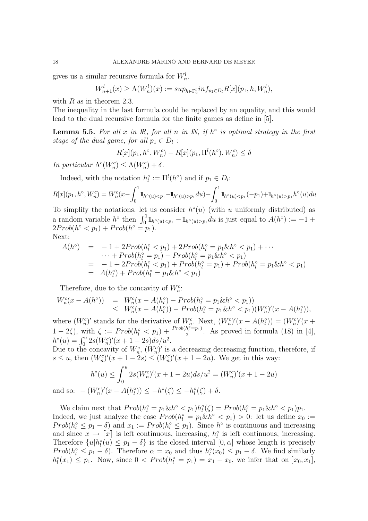gives us a similar recursive formula for  $W_n^l$ .

$$
W_{n+1}^l(x) \ge \Lambda(W_n^l)(x) := \sup_{h \in \Gamma_2^l} \inf_{p_1 \in D_l} R[x](p_1, h, W_n^l),
$$

with  $R$  as in theorem 2.3.

The inequality in the last formula could be replaced by an equality, and this would lead to the dual recursive formula for the finite games as define in [5].

**Lemma 5.5.** For all x in  $\mathbb{R}$ , for all n in  $\mathbb{N}$ , if  $h^{\circ}$  is optimal strategy in the first stage of the dual game, for all  $p_1 \in D_l$ :

$$
R[x](p_1, h^{\circ}, W_n^c) - R[x](p_1, \Pi^l(h^{\circ}), W_n^c) \le \delta
$$

In particular  $\Lambda^{c}(W_{n}^{c}) \leq \Lambda(W_{n}^{c}) + \delta$ .

Indeed, with the notation  $h_l^{\circ} := \Pi^l(h^{\circ})$  and if  $p_1 \in D_l$ :

$$
R[x](p_1, h^{\circ}, W_n^c) = W_n^c(x - \int_0^1 1\!\mathrm{l}_{h^{\circ}(u) < p_1} - 1\!\mathrm{l}_{h^{\circ}(u) > p_1} du) - \int_0^1 1\!\mathrm{l}_{h^{\circ}(u) < p_1}(-p_1) + 1\!\mathrm{l}_{h^{\circ}(u) > p_1} h^{\circ}(u) du
$$

To simplify the notations, let us consider  $h^{\circ}(u)$  (with u uniformly distributed) as a random variable  $h^{\circ}$  then  $\int_0^1 1\!\!1_{h^{\circ}(u) < p_1} - 1\!\!1_{h^{\circ}(u) > p_1} du$  is just equal to  $A(h^{\circ}) := -1 +$  $2Prob(h^{\circ} < p_1) + Prob(h^{\circ} = p_1).$ Next:

$$
A(h^{\circ}) = -1 + 2Prob(h_l^{\circ} < p_1) + 2Prob(h_l^{\circ} = p_1 \& h^{\circ} < p_1) + \cdots
$$
  
\n
$$
\cdots + Prob(h_l^{\circ} = p_1) - Prob(h_l^{\circ} = p_1 \& h^{\circ} < p_1)
$$
  
\n
$$
= -1 + 2Prob(h_l^{\circ} < p_1) + Prob(h_l^{\circ} = p_1) + Prob(h_l^{\circ} = p_1 \& h^{\circ} < p_1)
$$
  
\n
$$
= A(h_l^{\circ}) + Prob(h_l^{\circ} = p_1 \& h^{\circ} < p_1)
$$

Therefore, due to the concavity of  $W_n^c$ :

$$
W_n^c(x - A(h^{\circ})) = W_n^c(x - A(h_l^{\circ}) - Prob(h_l^{\circ} = p_1 \& h^{\circ} < p_1))
$$
  
\$\leq\$ 
$$
W_n^c(x - A(h_l^{\circ})) - Prob(h_l^{\circ} = p_1 \& h^{\circ} < p_1)(W_n^c)'(x - A(h_l^{\circ})),
$$

where  $(W_n^c)'$  stands for the derivative of  $W_n^c$ . Next,  $(W_n^c)'(x - A(h_i^c)) = (W_n^c)'(x +$  $1-2\zeta$ ), with  $\zeta := Prob(h_l^{\circ} < p_1) + \frac{Prob(h_l^{\circ} = p_1)}{2}$  $\frac{n_l = p_1}{2}$ . As proved in formula (18) in [4],  $h^{\circ}(u) = \int_0^u 2s(W_n^c)'(x+1-2s)ds/u^2.$ 

Due to the concavity of  $W_n^c$ ,  $(W_n^c)'$  is a decreasing decreasing function, therefore, if  $s \leq u$ , then  $(W_n^c)'(x+1-2s) \leq (W_n^c)'(x+1-2u)$ . We get in this way:

$$
h^{\circ}(u) \le \int_0^u 2s(W_n^c)'(x+1-2u)ds/u^2 = (W_n^c)'(x+1-2u)
$$
  
(W\_n^c)'(x-4(t\_0))  $\le L_0(\zeta) \le L_0(\zeta) + \frac{1}{2}L_0(\zeta) + \frac{1}{2}L_0(\zeta) + \frac{1}{2}L_0(\zeta) + \frac{1}{2}L_0(\zeta) + \frac{1}{2}L_0(\zeta) + \frac{1}{2}L_0(\zeta) + \frac{1}{2}L_0(\zeta) + \frac{1}{2}L_0(\zeta) + \frac{1}{2}L_0(\zeta) + \frac{1}{2}L_0(\zeta) + \frac{1}{2}L_0(\zeta) + \frac{1}{2}L_0(\zeta) + \frac{1}{2}L_0(\zeta) + \frac{1}{2}L_0(\zeta) + \frac{1}{2}L_0(\zeta) + \frac{1}{2}L_0(\zeta) + \frac{1}{2}L_0(\zeta) + \frac{1}{2}L_0(\zeta) + \frac{1}{2}L_0(\zeta) + \frac{1}{2}L_0(\zeta) + \frac{1}{2}L_0(\zeta) + \frac{1}{2}L_0(\zeta) + \frac{1}{2}L_0(\zeta) + \frac{1}{2}L_0(\zeta) + \frac{1}{2}L_0(\zeta) + \frac{1}{2}L_0(\zeta) + \frac{1}{2}L_0(\zeta) + \frac{1}{2}L_0(\zeta) + \frac{1}{2}L_0(\zeta) + \frac{1}{2}L_0(\zeta) + \frac{1}{2}L_0(\zeta) + \frac{1}{2}L_0(\zeta) + \frac{1}{2}L_0(\zeta) + \frac{1}{2}L_0(\zeta) + \frac{1}{2}L_0(\zeta) + \frac{1}{2}L_0(\zeta) + \frac{1}{2}L_0(\zeta) + \frac{1}{2}L_0(\zeta) + \frac{1}{2}L_0(\zeta) + \frac{1}{2}L_0(\zeta) + \frac{1}{2}L_0(\zeta) + \frac{1}{2}L_0(\zeta) + \frac{1}{2}L_0(\zeta) + \frac{1}{2}L_0(\zeta) + \frac{1}{2}L_0(\$ 

and so:  $-(W_n^c)'(x - A(h_l^{\circ})) \le -h^{\circ}(\zeta) \le -h_l^{\circ}(\zeta) + \delta.$ 

We claim next that  $Prob(h_l^{\circ} = p_1 \& h^{\circ} < p_1)h_l^{\circ}(\zeta) = Prob(h_l^{\circ} = p_1 \& h^{\circ} < p_1)p_1.$ Indeed, we just analyze the case  $Prob(h_l^{\circ} = p_1 \& h^{\circ} < p_1) > 0$ : let us define  $x_0 :=$  $Prob(h_l^{\circ} \leq p_1 - \delta)$  and  $x_1 := Prob(h_l^{\circ} \leq p_1)$ . Since  $h^{\circ}$  is continuous and increasing and since  $x \to \lceil x \rceil$  is left continuous, increasing,  $h_l^{\circ}$  is left continuous, increasing. Therefore  $\{u|h_i^{\circ}(u) \leq p_1 - \delta\}$  is the closed interval  $[0, \alpha]$  whose length is precisely  $Prob(h_l^{\circ} \leq p_1 - \delta)$ . Therefore  $\alpha = x_0$  and thus  $h_l^{\circ}(x_0) \leq p_1 - \delta$ . We find similarly  $h_l^{\circ}(x_1) \leq p_1$ . Now, since  $0 < Prob(h_l^{\circ} = p_1) = x_1 - x_0$ , we infer that on  $]x_0, x_1]$ ,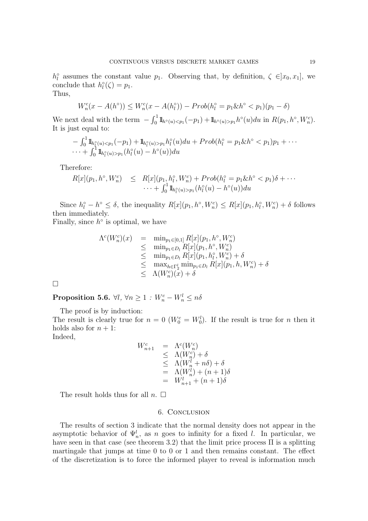$h_l^{\circ}$  assumes the constant value  $p_1$ . Observing that, by definition,  $\zeta \in ]x_0, x_1]$ , we conclude that  $h_l^{\circ}(\zeta) = p_1$ .

Thus,

$$
W_n^c(x - A(h^{\circ})) \le W_n^c(x - A(h_l^{\circ})) - Prob(h_l^{\circ} = p_1 \& h^{\circ} < p_1)(p_1 - \delta)
$$

We next deal with the term  $- \int_0^1 1\! \text{Im}(u) \langle p_1(-p_1) + 1\! \text{Im}(u) \rangle p_1 h^{\circ}(u) du$  in  $R(p_1, h^{\circ}, W_n^c)$ . It is just equal to:

$$
- \int_0^1 \mathbb{1}_{h_l^{\circ}(u) < p_1}(-p_1) + \mathbb{1}_{h_l^{\circ}(u) > p_1} h_l^{\circ}(u) du + Prob(h_l^{\circ} = p_1 \& h^{\circ} < p_1) p_1 + \cdots + \int_0^1 \mathbb{1}_{h_l^{\circ}(u) > p_1} (h_l^{\circ}(u) - h^{\circ}(u)) du
$$

Therefore:

$$
R[x](p_1, h^{\circ}, W_n^c) \leq R[x](p_1, h^{\circ}_l, W_n^c) + Prob(h^{\circ}_l = p_1 \& h^{\circ} < p_1)\delta + \cdots \cdots + \int_0^1 \mathbb{1}_{h^{\circ}_l(u) > p_1}(h^{\circ}_l(u) - h^{\circ}(u))du
$$

Since  $h_l^{\circ} - h^{\circ} \leq \delta$ , the inequality  $R[x](p_1, h^{\circ}, W_n^c) \leq R[x](p_1, h_l^{\circ}, W_n^c) + \delta$  follows then immediately.

Finally, since  $h^{\circ}$  is optimal, we have

$$
\Lambda^{c}(W_{n}^{c})(x) = \min_{p_{1} \in [0,1]} R[x](p_{1}, h^{\circ}, W_{n}^{c})
$$
  
\n
$$
\leq \min_{p_{1} \in D_{l}} R[x](p_{1}, h^{\circ}, W_{n}^{c})
$$
  
\n
$$
\leq \min_{p_{1} \in D_{l}} R[x](p_{1}, h_{l}^{\circ}, W_{n}^{c}) + \delta
$$
  
\n
$$
\leq \max_{h \in \Gamma_{2}^{l}} \min_{p_{1} \in D_{l}} R[x](p_{1}, h, W_{n}^{c}) + \delta
$$
  
\n
$$
\leq \Lambda(W_{n}^{c})(x) + \delta
$$

 $\Box$ 

Proposition 5.6.  $\forall l, \, \forall n \geq 1 \, : \, W_n^c - W_n^l \leq n \delta$ 

The proof is by induction:

The result is clearly true for  $n = 0$  ( $W_0^c = W_0^l$ ). If the result is true for n then it holds also for  $n + 1$ :

Indeed,

$$
W_{n+1}^c = \Lambda^c(W_n^c)
$$
  
\n
$$
\leq \Lambda(W_n^c) + \delta
$$
  
\n
$$
\leq \Lambda(W_n^l + n\delta) + \delta
$$
  
\n
$$
= \Lambda(W_n^l) + (n+1)\delta
$$
  
\n
$$
= W_{n+1}^l + (n+1)\delta
$$

The result holds thus for all  $n.$   $\Box$ 

### 6. Conclusion

The results of section 3 indicate that the normal density does not appear in the asymptotic behavior of  $\Psi_n^l$ , as n goes to infinity for a fixed l. In particular, we have seen in that case (see theorem 3.2) that the limit price process  $\Pi$  is a splitting martingale that jumps at time 0 to 0 or 1 and then remains constant. The effect of the discretization is to force the informed player to reveal is information much